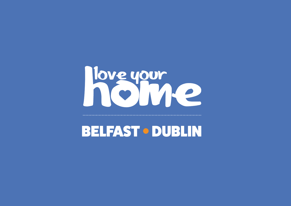# Nove your<br>Noveme

BELFAST � DUBLIN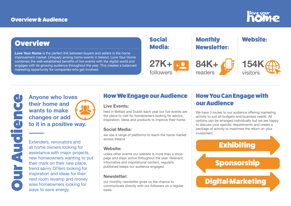**Love Your Home** is the perfect link between buyers and sellers in the home improvement market. Uniquely among home events in Ireland, Love Your Home combines the well-established benefits of live events with the digital world and engages with its growing audience throughout the year. This creates a balanced marketing opportunity for companies who get involved.

# **Overview**

**Anyone who loves their home and wants to make changes or add to it in a positive way.**

Extenders, renovators and all home owners looking for assistance with major projects, new homeowners wanting to put their mark on their new place, trend savvy DIYers looking for inspiration and ideas for their next room revamp and money wise homeowners looking for ways to save energy.

# How We Engage our Audience

#### **Live Events:**

held in Belfast and Dublin each year our live events are the place to visit for homeowners looking for advice, inspiration, ideas and products to improve their home.

#### **Social Media:**

we use a range of platforms to reach the home market across Ireland.

## **Website:**

unlike other events our website is more than a show page and stays active throughout the year. Relevant, informative and inspirational content, regularly published keeps our audience engaged.

## **Newsletter:**

our monthly newsletter gives us the chance to communicate directly with our followers on a regular basis.

# How You Can Engage with our Audience



We have 3 routes to our audience offering marketing activity to suit all budgets and business needs. All options can be arranged individually but we are happy to discuss your specific requirements and create a package of activity to maximise the return on your investment.



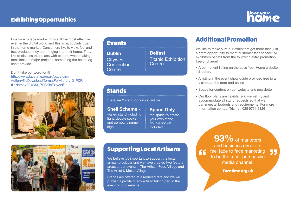Live face to face marketing is still the most effective even in the digital world and this is particularly true in the home market. Consumers like to view, feel and test products they are bringing into their home. They like to discuss their plans with experts when making decisions on major projects, something the best blog can't provide.

Don't take our word for it! http://www.facetime.org.uk/page.cfm/ Action=fileDownload/formatFor=library\_2\_PDF/ fileName=394233\_PDF/fileExt=pdf





## **Events**

**Dublin Citywest Convention Centre** 

# Stands

We like to make sure our exhibitors get more than just a great opportunity to meet customer face to face. All exhibitors benefit from the following extra promotion free of charge!

There are 2 stand options available:

Supporting Local Artisans

We believe it's important to support the local

artisan producer and we have created two feature areas at our events – The Artisan Food Village and

**Belfast**  Titanic Exhibition **Centre** 

The Artist & Maker Village.

Stands are offered at a reduced rate and we will publish a profile of any artisan taking part in the

event on our website.

# Additional Promotion

� A permanent listing on the Love Your Home website

- directory
- 
- 
- 

� A listing in the event show guide provided free to all visitors at the door and online

• Space for content on our website and newsletter

� Our floor plans are flexible, and we will try and accommodate all stand requests so that we can meet all budgets and requirements. For more information contact Trish on 028 9751 2126

55

**Facetime.org.uk** 

#### **Space Only -**

the space to create your own stand, double socket included

#### **Shell Scheme -**

walled stand including light, double socket and company name sign

> **93%** of marketers and business directors feel face to face marketing " to be the most persuasive media channel.

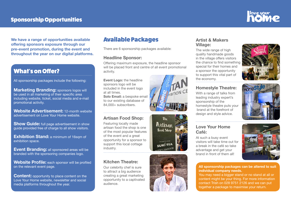**We have a range of opportunities available offering sponsors exposure through our pre-event promotion, during the event and throughout the year on our digital platforms.**

# Available Packages

There are 6 sponsorship packages available:

#### **Headline Sponsor:**

Offering maximum exposure, the headline sponsor will be placed front and centre of all event promotional activity.

**Event Logo:** the headline sponsors logo will be included in the event logo at all times. **Solo Email:** a bespoke email to our existing database of 84,000+ subscribers.

## **Artisan Food Shop:**

Featuring locally made artisan food the shop is one of the most popular features of the event and a great opportunity for a sponsor to support this local cottage industry.

#### **Kitchen Theatre:**

Our celebrity chef is sure to attract a big audience creating a great marketing opportunity to a captivated audience.







#### **Artist & Makers Village:**

**Show Guide:** full page advertisement in show guide provided free of charge to all show visitors.

**Exhibition Stand:** a minimum of 16sqm of exhibition space.

The wide range of high quality handmade goods in the village offers visitors the chance to find something special for their homes and a sponsor the opportunity to support this vital part of the economy.

**Content:** opportunity to place content on the Love Your Home website, newsletter and social media platforms throughout the year.

#### **Homestyle Theatre:**

With a range of talks from leading industry expert's sponsorship of the homestyle theatre puts your brand at the forefront of design and style advice.

#### **Love Your Home Café:**

At such a busy event visitors will take time out for a break in the café so take advantage and get your brand in front of them all!









# What's on Offer?

All sponsorship packages include the following:

**Marketing Branding:** sponsors logos will be used in all marketing of their specific area including website, ticket, social media and e-mail promotional activity.

**Website Advertisement:** 12-month website advertisement on Love Your Home website.

**Event Branding:** all sponsored areas will be branded with the sponsoring companies logo.

**Website Profile:** each sponsor will be profiled on the relevant event page.

#### **All sponsorship packages can be altered to suit individual company needs.**

You may need a bigger stand or no stand at all or content might be your thing. For more information contact Trish on 028 9751 2126 and we can put together a package to maximise your return.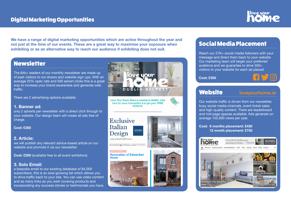# Digital Marketing Opportunities

**We have a range of digital marketing opportunities which are active throughout the year and not just at the time of our events. These are a great way to maximise your exposure when exhibiting or as an alternative way to reach our audience if exhibiting does not suit.**

# **Newsletter**

# Social Media Placement

Reach our 27K+ social media followers with your message and direct them back to your website. Our marketing team will target your preferred audience and we guarantee to drive 500+ visitors to your website for each ad placed.

**Cost: £350**









The 84k+ readers of our monthly newsletter are made up of past visitors to our shows and website sign ups. With an average 25% open rate and 500 advert clicks this is a great way to increase your brand awareness and generate web traffic.

There are 2 advertising options available:

#### **1. Banner ad:**

only 2 adverts per newsletter with a direct click through to your website. Our design team will create all ads free of charge.

**Cost: £300**

#### **2. Article:**

we will publish any relevant advice-based article on our website and promote it via our newsletter.

**Cost: £300** (available free to all event exhibitors)

#### **3. Solo Email:**

a bespoke email to our existing database of 84,000 subscribers, this is an ever-growing list which allows you to drive traffic back to your site. You can use video content and as many links as you wish covering products and incorporating any success stories or testimonials you have.



Love Your Home Show is coming to Dublin, click here for more information & to get your FREE **TICKETS** 

#### **Exclusive** Italian **SOAKS** Design only at Soaks Bathrooms

Home



**ØMastella** 





# Website **loveyourhome.ie**

Our website traffic is driven from our newsletter, busy social media channels, event ticket sales and high-quality content. There are leaderboard and mid page spaces available. Ads generate on average 150,000 views per year.

#### **Cost: 6 months placement: £450 12 month placement: £750**